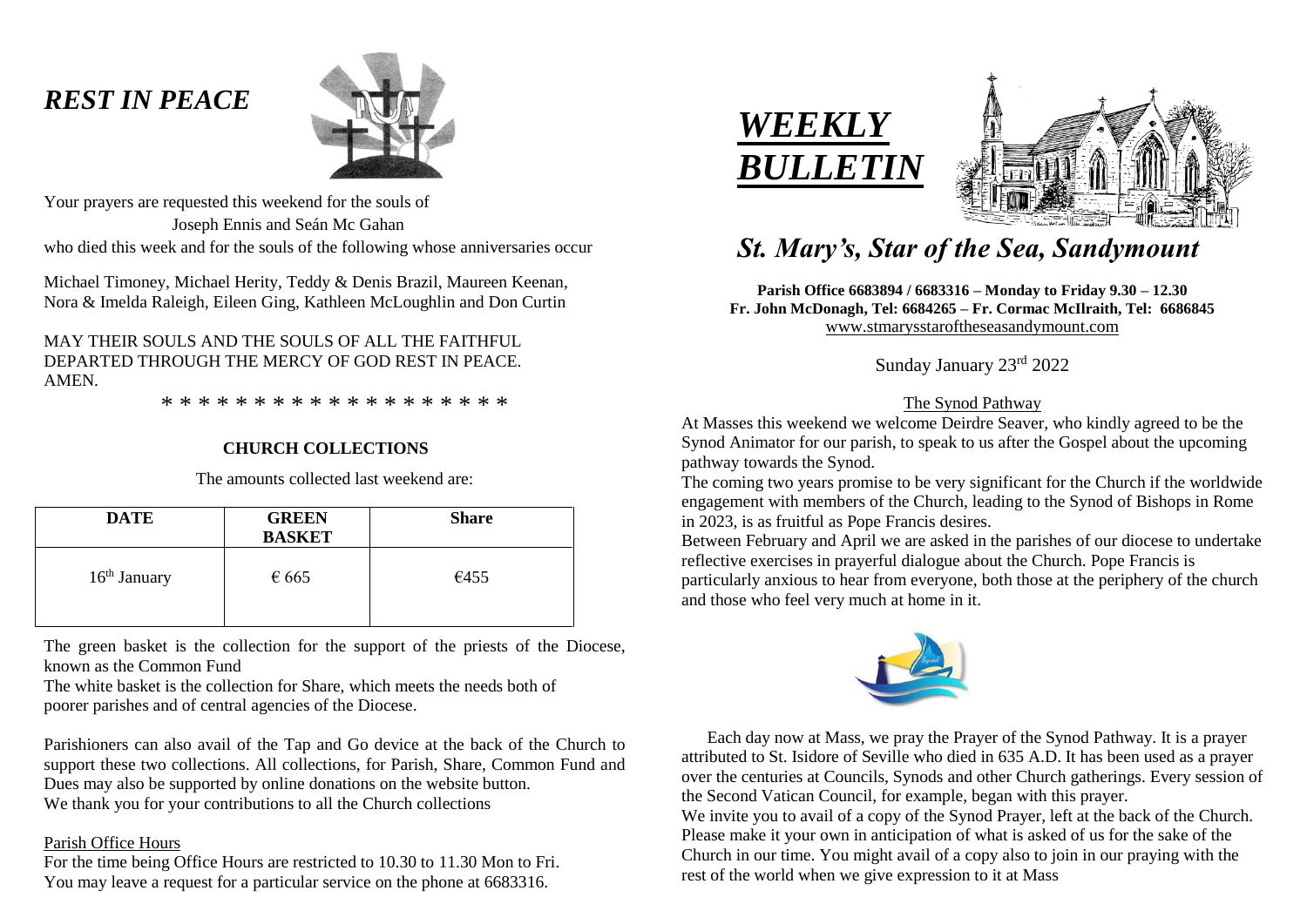## *REST IN PEACE*



Your prayers are requested this weekend for the souls of Joseph Ennis and Seán Mc Gahan who died this week and for the souls of the following whose anniversaries occur

Michael Timoney, Michael Herity, Teddy & Denis Brazil, Maureen Keenan, Nora & Imelda Raleigh, Eileen Ging, Kathleen McLoughlin and Don Curtin

## MAY THEIR SOULS AND THE SOULS OF ALL THE FAITHFUL DEPARTED THROUGH THE MERCY OF GOD REST IN PEACE. **AMEN**

\* \* \* \* \* \* \* \* \* \* \* \* \* \* \* \* \* \* \*

## **CHURCH COLLECTIONS**

The amounts collected last weekend are:

| <b>DATE</b>              | <b>GREEN</b><br><b>BASKET</b> | <b>Share</b> |
|--------------------------|-------------------------------|--------------|
| 16 <sup>th</sup> January | $\epsilon$ 665                | €455         |
|                          |                               |              |

The green basket is the collection for the support of the priests of the Diocese, known as the Common Fund

The white basket is the collection for Share, which meets the needs both of poorer parishes and of central agencies of the Diocese.

Parishioners can also avail of the Tap and Go device at the back of the Church to support these two collections. All collections, for Parish, Share, Common Fund and Dues may also be supported by online donations on the website button. We thank you for your contributions to all the Church collections

## Parish Office Hours

For the time being Office Hours are restricted to 10.30 to 11.30 Mon to Fri. You may leave a request for a particular service on the phone at 6683316.





# *St. Mary's, Star of the Sea, Sandymount*

**Parish Office 6683894 / 6683316 – Monday to Friday 9.30 – 12.30 Fr. John McDonagh, Tel: 6684265 – Fr. Cormac McIlraith, Tel: 6686845** [www.stmarysstaroftheseasandymount.com](http://www.stmarysstaroftheseasandymount.com/)

Sunday January 23rd 2022

## The Synod Pathway

At Masses this weekend we welcome Deirdre Seaver, who kindly agreed to be the Synod Animator for our parish, to speak to us after the Gospel about the upcoming pathway towards the Synod.

The coming two years promise to be very significant for the Church if the worldwide engagement with members of the Church, leading to the Synod of Bishops in Rome in 2023, is as fruitful as Pope Francis desires.

Between February and April we are asked in the parishes of our diocese to undertake reflective exercises in prayerful dialogue about the Church. Pope Francis is particularly anxious to hear from everyone, both those at the periphery of the church and those who feel very much at home in it.



 Each day now at Mass, we pray the Prayer of the Synod Pathway. It is a prayer attributed to St. Isidore of Seville who died in 635 A.D. It has been used as a prayer over the centuries at Councils, Synods and other Church gatherings. Every session of the Second Vatican Council, for example, began with this prayer. We invite you to avail of a copy of the Synod Prayer, left at the back of the Church. Please make it your own in anticipation of what is asked of us for the sake of the Church in our time. You might avail of a copy also to join in our praying with the rest of the world when we give expression to it at Mass